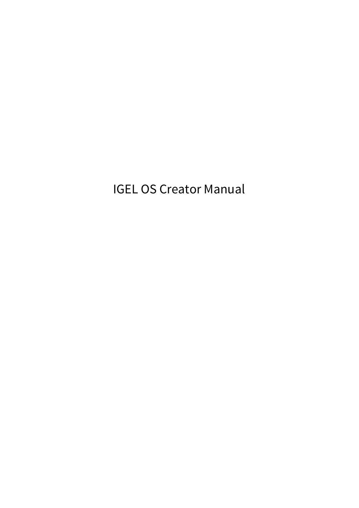IGEL OS Creator Manual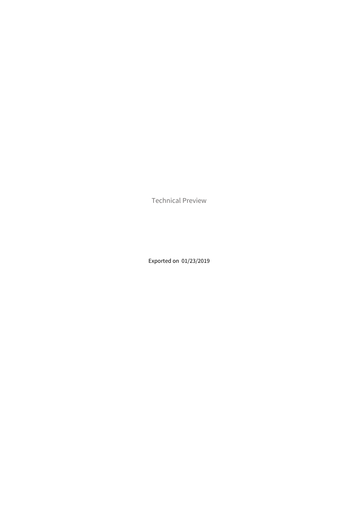Technical Preview

Exported on 01/23/2019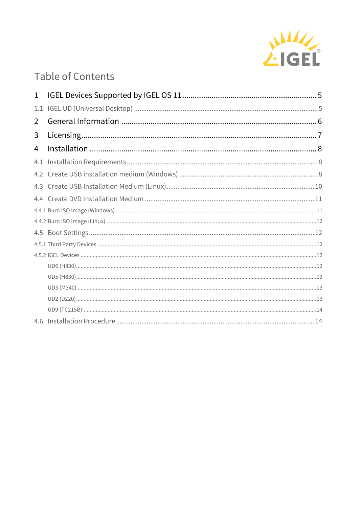

# **Table of Contents**

| 1              |  |
|----------------|--|
| 1.1            |  |
| 2              |  |
| 3              |  |
| $\overline{4}$ |  |
| 4.1            |  |
|                |  |
|                |  |
|                |  |
|                |  |
|                |  |
|                |  |
|                |  |
|                |  |
|                |  |
|                |  |
|                |  |
|                |  |
|                |  |
| 4.6            |  |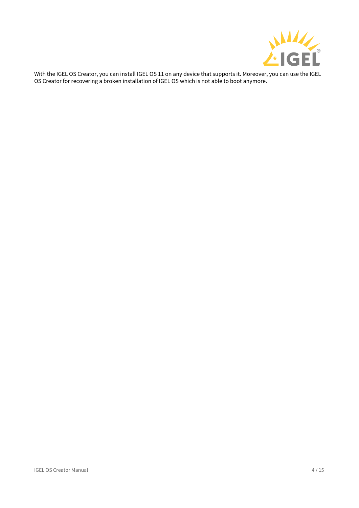

With the IGEL OS Creator, you can install IGEL OS 11 on any device that supports it. Moreover, you can use the IGEL OS Creator for recovering a broken installation of IGEL OS which is not able to boot anymore.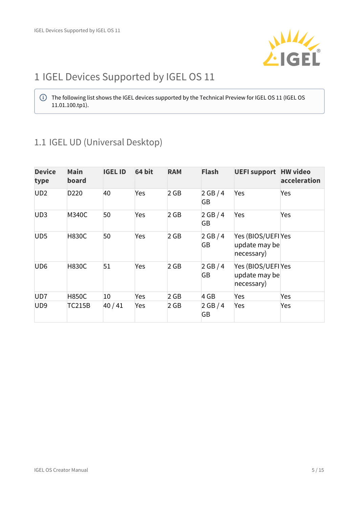

# <span id="page-4-0"></span>1 IGEL Devices Supported by IGEL OS 11

 $\bigoplus$  The following list shows the IGEL devices supported by the Technical Preview for IGEL OS 11 (IGEL OS  $\qquad$ 11.01.100.tp1).

# <span id="page-4-1"></span>1.1 IGEL UD (Universal Desktop)

| <b>Device</b><br>type | <b>Main</b><br>board | <b>IGEL ID</b> | 64 bit | <b>RAM</b> | <b>Flash</b> | <b>UEFI support HW video</b>                      | acceleration |
|-----------------------|----------------------|----------------|--------|------------|--------------|---------------------------------------------------|--------------|
| UD <sub>2</sub>       | D <sub>220</sub>     | 40             | Yes    | $2$ GB     | 2 GB/4<br>GB | Yes                                               | Yes          |
| UD <sub>3</sub>       | <b>M340C</b>         | 50             | Yes    | 2 GB       | 2 GB/4<br>GB | Yes                                               | Yes          |
| UD <sub>5</sub>       | <b>H830C</b>         | 50             | Yes    | 2 GB       | 2 GB/4<br>GB | Yes (BIOS/UEFI Yes<br>update may be<br>necessary) |              |
| UD <sub>6</sub>       | <b>H830C</b>         | 51             | Yes    | $2$ GB     | 2 GB/4<br>GB | Yes (BIOS/UEFI Yes<br>update may be<br>necessary) |              |
| UD <sub>7</sub>       | <b>H850C</b>         | 10             | Yes    | $2$ GB     | 4 GB         | Yes                                               | Yes          |
| UD <sub>9</sub>       | <b>TC215B</b>        | 40/41          | Yes    | 2 GB       | 2 GB/4<br>GB | Yes                                               | Yes          |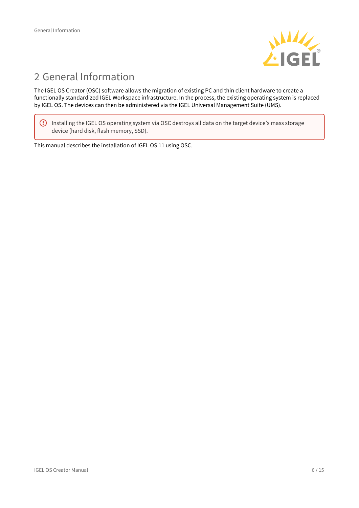

# <span id="page-5-0"></span>2 General Information

The IGEL OS Creator (OSC) software allows the migration of existing PC and thin client hardware to create a functionally standardized IGEL Workspace infrastructure. In the process, the existing operating system is replaced by IGEL OS. The devices can then be administered via the IGEL Universal Management Suite (UMS).

 $\bigoplus$  Installing the IGEL OS operating system via OSC destroys all data on the target device's mass storage  $\qquad$ device (hard disk, flash memory, SSD).

This manual describes the installation of IGEL OS 11 using OSC.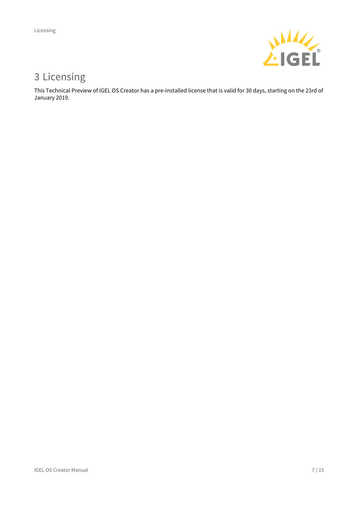

# <span id="page-6-0"></span>3 Licensing

This Technical Preview of IGEL OS Creator has a pre-installed license that is valid for 30 days, starting on the 23rd of January 2019.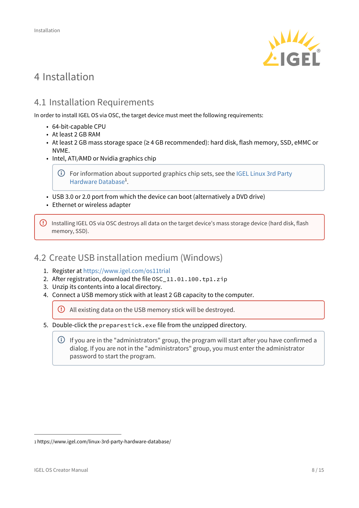

# <span id="page-7-0"></span>4 Installation

# <span id="page-7-1"></span>4.1 Installation Requirements

In order to install IGEL OS via OSC, the target device must meet the following requirements:

- 64-bit-capable CPU
- At least 2 GB RAM
- At least 2 GB mass storage space (≥ 4 GB recommended): hard disk, flash memory, SSD, eMMC or NVME.
- Intel, ATI/AMD or Nvidia graphics chip
	- For information about supported graphics chip sets, see the [IGEL Linux 3rd Party](https://www.igel.com/linux-3rd-party-hardware-database/) . [Hardware Database](https://www.igel.com/linux-3rd-party-hardware-database/)<sup>[1](https://www.igel.com/linux-3rd-party-hardware-database/)</sup>.
- USB 3.0 or 2.0 port from which the device can boot (alternatively a DVD drive)
- Ethernet or wireless adapter

 $\bigoplus$  Installing IGEL OS via OSC destroys all data on the target device's mass storage device (hard disk, flash  $\qquad$ memory, SSD).

## <span id="page-7-2"></span>4.2 Create USB installation medium (Windows)

- 1. Register at<https://www.igel.com/os11trial>
- 2. After registration, download the file OSC\_11.01.100.tp1.zip
- 3. Unzip its contents into a local directory.
- 4. Connect a USB memory stick with at least 2 GB capacity to the computer.

All existing data on the USB memory stick will be destroyed.

- 5. Double-click the preparestick.exe file from the unzipped directory.
	- $\bigcirc$  If you are in the "administrators" group, the program will start after you have confirmed a  $\;\;$   $\;$ dialog. If you are not in the "administrators" group, you must enter the administrator password to start the program.

<sup>1</sup> https://www.igel.com/linux-3rd-party-hardware-database/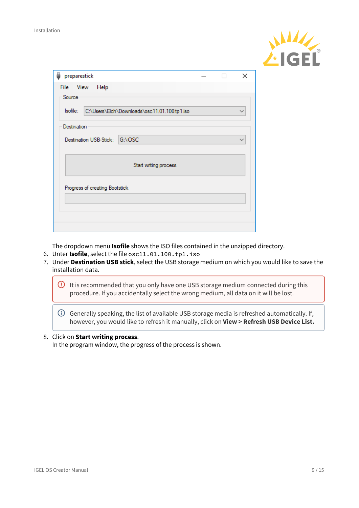

|                                |  | $\times$ |  |  |  |  |  |  |
|--------------------------------|--|----------|--|--|--|--|--|--|
|                                |  |          |  |  |  |  |  |  |
|                                |  |          |  |  |  |  |  |  |
|                                |  |          |  |  |  |  |  |  |
|                                |  |          |  |  |  |  |  |  |
|                                |  |          |  |  |  |  |  |  |
| Start writing process          |  |          |  |  |  |  |  |  |
| Progress of creating Bootstick |  |          |  |  |  |  |  |  |
|                                |  |          |  |  |  |  |  |  |
|                                |  |          |  |  |  |  |  |  |

The dropdown menü **Isofile** shows the ISO files contained in the unzipped directory.

- 6. Unter **Isofile**, select the file osc11.01.100.tp1.iso
- 7. Under **Destination USB stick**, select the USB storage medium on which you would like to save the installation data.



 $\bigcirc$  Generally speaking, the list of available USB storage media is refreshed automatically. If,  $\qquad$ however, you would like to refresh it manually, click on **View > Refresh USB Device List.**

#### 8. Click on **Start writing process**.

In the program window, the progress of the process is shown.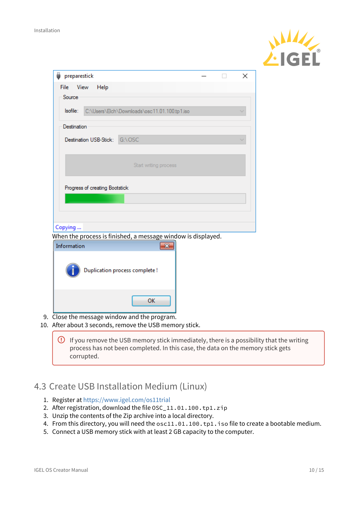

|                                |                                                              |  | × |
|--------------------------------|--------------------------------------------------------------|--|---|
| View<br>File<br>Help           |                                                              |  |   |
| Source                         |                                                              |  |   |
| Isofile:                       | C:\Users\Elch\Downloads\osc11.01.100.tp1.iso                 |  |   |
|                                |                                                              |  |   |
| Destination                    |                                                              |  |   |
| Destination USB-Stick: G:\OSC  |                                                              |  |   |
|                                |                                                              |  |   |
|                                |                                                              |  |   |
|                                | Start writing process                                        |  |   |
|                                |                                                              |  |   |
| Progress of creating Bootstick |                                                              |  |   |
|                                |                                                              |  |   |
|                                |                                                              |  |   |
|                                |                                                              |  |   |
|                                |                                                              |  |   |
|                                |                                                              |  |   |
|                                | When the process is finished, a message window is displayed. |  |   |
|                                | $\mathbf{x}$                                                 |  |   |
|                                |                                                              |  |   |
|                                | Duplication process complete!                                |  |   |
|                                |                                                              |  |   |
|                                |                                                              |  |   |
| Copying<br>Information         | OK                                                           |  |   |

10. After about 3 seconds, remove the USB memory stick.

 $\overline{\textbf{Q}}$  If you remove the USB memory stick immediately, there is a possibility that the writing  $\overline{\textbf{Q}}$ process has not been completed. In this case, the data on the memory stick gets corrupted.

## <span id="page-9-0"></span>4.3 Create USB Installation Medium (Linux)

- 1. Register at <https://www.igel.com/os11trial>
- 2. After registration, download the file OSC\_11.01.100.tp1.zip
- 3. Unzip the contents of the Zip archive into a local directory.
- 4. From this directory, you will need the osc11.01.100.tp1.iso file to create a bootable medium.
- 5. Connect a USB memory stick with at least 2 GB capacity to the computer.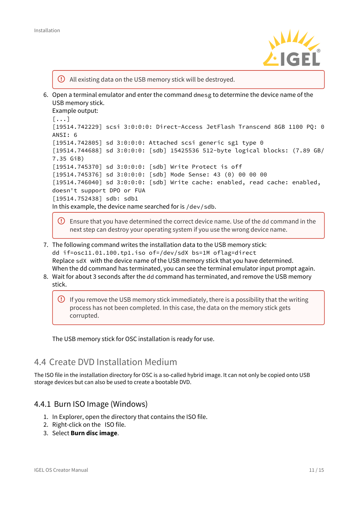

All existing data on the USB memory stick will be destroyed.

6. Open a terminal emulator and enter the command dmesg to determine the device name of the USB memory stick.

```
Example output: 
[\ldots][19514.742229] scsi 3:0:0:0: Direct-Access JetFlash Transcend 8GB 1100 PQ: 0 
ANSI: 6
[19514.742805] sd 3:0:0:0: Attached scsi generic sg1 type 0
[19514.744688] sd 3:0:0:0: [sdb] 15425536 512-byte logical blocks: (7.89 GB/
7.35 GiB)
[19514.745370] sd 3:0:0:0: [sdb] Write Protect is off
[19514.745376] sd 3:0:0:0: [sdb] Mode Sense: 43 (0) 00 00 00
[19514.746040] sd 3:0:0:0: [sdb] Write cache: enabled, read cache: enabled, 
doesn't support DPO or FUA
[19514.752438] sdb: sdb1
In this example, the device name searched for is /dev/sdb.
```
- $\overline{C}$  Ensure that you have determined the correct device name. Use of the dd command in the next step can destroy your operating system if you use the wrong device name.
- 7. The following command writes the installation data to the USB memory stick: dd if=osc11.01.100.tp1.iso of=/dev/sdX bs=1M oflag=direct Replace sdX with the device name of the USB memory stick that you have determined. When the dd command has terminated, you can see the terminal emulator input prompt again.
- 8. Wait for about 3 seconds after the dd command has terminated, and remove the USB memory stick.
	- $\overline{\textbf{Q}}$  If you remove the USB memory stick immediately, there is a possibility that the writing  $\overline{\textbf{Q}}$ process has not been completed. In this case, the data on the memory stick gets corrupted.

The USB memory stick for OSC installation is ready for use.

## <span id="page-10-0"></span>4.4 Create DVD Installation Medium

The ISO file in the installation directory for OSC is a so-called hybrid image. It can not only be copied onto USB storage devices but can also be used to create a bootable DVD.

### <span id="page-10-1"></span>4.4.1 Burn ISO Image (Windows)

- 1. In Explorer, open the directory that contains the ISO file.
- 2. Right-click on the ISO file.
- 3. Select **Burn disc image**.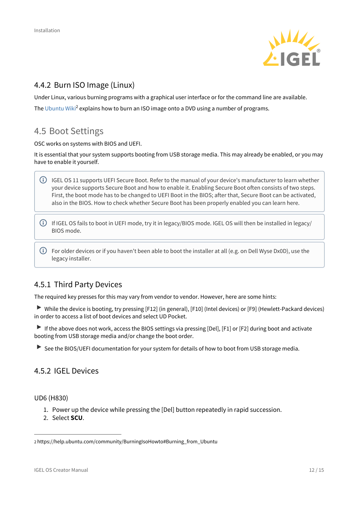

### <span id="page-11-0"></span>4.4.2 Burn ISO Image (Linux)

Under Linux, various burning programs with a graphical user interface or for the command line are available. The [Ubuntu Wiki](https://help.ubuntu.com/community/BurningIsoHowto#Burning_from_Ubuntu)<sup>[2](https://help.ubuntu.com/community/BurningIsoHowto#Burning_from_Ubuntu)</sup> explains how to burn an ISO image onto a DVD using a number of programs.

## <span id="page-11-1"></span>4.5 Boot Settings

OSC works on systems with BIOS and UEFI.

It is essential that your system supports booting from USB storage media. This may already be enabled, or you may have to enable it yourself.

- $\bigoplus$  IGEL OS 11 supports UEFI Secure Boot. Refer to the manual of your device's manufacturer to learn whether  $\ \big|$ your device supports Secure Boot and how to enable it. Enabling Secure Boot often consists of two steps. First, the boot mode has to be changed to UEFI Boot in the BIOS; after that, Secure Boot can be activated, also in the BIOS. How to check whether Secure Boot has been properly enabled you can learn here.
- $\odot$  If IGEL OS fails to boot in UEFI mode, try it in legacy/BIOS mode. IGEL OS will then be installed in legacy/  $\qquad$ BIOS mode.
- $\bigodot$  For older devices or if you haven't been able to boot the installer at all (e.g. on Dell Wyse Dx0D), use the  $\qquad$ legacy installer.

### <span id="page-11-2"></span>4.5.1 Third Party Devices

The required key presses for this may vary from vendor to vendor. However, here are some hints:

 While the device is booting, try pressing [F12] (in general), [F10] (Intel devices) or [F9] (Hewlett-Packard devices) in order to access a list of boot devices and select UD Pocket.

If the above does not work, access the BIOS settings via pressing [Del], [F1] or [F2] during boot and activate booting from USB storage media and/or change the boot order.

See the BIOS/UEFI documentation for your system for details of how to boot from USB storage media.

### <span id="page-11-3"></span>4.5.2 IGEL Devices

<span id="page-11-4"></span>UD6 (H830)

- 1. Power up the device while pressing the [Del] button repeatedly in rapid succession.
- 2. Select **SCU**.

<sup>2</sup> https://help.ubuntu.com/community/BurningIsoHowto#Burning\_from\_Ubuntu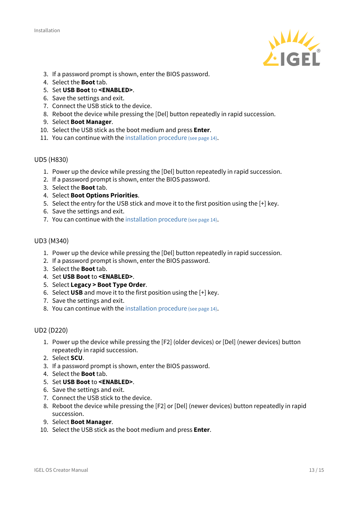

- 3. If a password prompt is shown, enter the BIOS password.
- 4. Select the **Boot** tab.
- 5. Set **USB Boot** to **<ENABLED>**.
- 6. Save the settings and exit.
- 7. Connect the USB stick to the device.
- 8. Reboot the device while pressing the [Del] button repeatedly in rapid succession.
- 9. Select **Boot Manager**.
- 10. Select the USB stick as the boot medium and press **Enter**.
- 11. You can continue with the [installation procedure](#page-13-1) [\(see page 14\)](#page-13-1).

#### <span id="page-12-0"></span>UD5 (H830)

- 1. Power up the device while pressing the [Del] button repeatedly in rapid succession.
- 2. If a password prompt is shown, enter the BIOS password.
- 3. Select the **Boot** tab.
- 4. Select **Boot Options Priorities**.
- 5. Select the entry for the USB stick and move it to the first position using the [+] key.
- 6. Save the settings and exit.
- 7. You can continue with the [installation procedure](#page-13-1) [\(see page 14\)](#page-13-1).

#### <span id="page-12-1"></span>UD3 (M340)

- 1. Power up the device while pressing the [Del] button repeatedly in rapid succession.
- 2. If a password prompt is shown, enter the BIOS password.
- 3. Select the **Boot** tab.
- 4. Set **USB Boot** to **<ENABLED>**.
- 5. Select **Legacy > Boot Type Order**.
- 6. Select **USB** and move it to the first position using the [+] key.
- 7. Save the settings and exit.
- 8. You can continue with the [installation procedure](#page-13-1) [\(see page 14\)](#page-13-1).

#### <span id="page-12-2"></span>UD2 (D220)

- 1. Power up the device while pressing the [F2] (older devices) or [Del] (newer devices) button repeatedly in rapid succession.
- 2. Select **SCU**.
- 3. If a password prompt is shown, enter the BIOS password.
- 4. Select the **Boot** tab.
- 5. Set **USB Boot** to **<ENABLED>**.
- 6. Save the settings and exit.
- 7. Connect the USB stick to the device.
- 8. Reboot the device while pressing the [F2] or [Del] (newer devices) button repeatedly in rapid succession.
- 9. Select **Boot Manager**.
- 10. Select the USB stick as the boot medium and press **Enter**.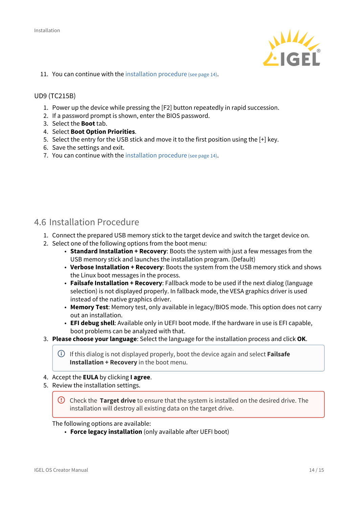

11. You can continue with the [installation procedure](#page-13-1) [\(see page 14\)](#page-13-1).

#### <span id="page-13-0"></span>UD9 (TC215B)

- 1. Power up the device while pressing the [F2] button repeatedly in rapid succession.
- 2. If a password prompt is shown, enter the BIOS password.
- 3. Select the **Boot** tab.
- 4. Select **Boot Option Priorities**.
- 5. Select the entry for the USB stick and move it to the first position using the [+] key.
- 6. Save the settings and exit.
- 7. You can continue with the [installation procedure](#page-13-1) [\(see page 14\)](#page-13-1).

### <span id="page-13-1"></span>4.6 Installation Procedure

- 1. Connect the prepared USB memory stick to the target device and switch the target device on.
- 2. Select one of the following options from the boot menu:
	- **Standard Installation + Recovery**: Boots the system with just a few messages from the USB memory stick and launches the installation program. (Default)
	- **Verbose Installation + Recovery**: Boots the system from the USB memory stick and shows the Linux boot messages in the process.
	- **Failsafe Installation + Recovery**: Fallback mode to be used if the next dialog (language selection) is not displayed properly. In fallback mode, the VESA graphics driver is used instead of the native graphics driver.
	- **Memory Test**: Memory test, only available in legacy/BIOS mode. This option does not carry out an installation.
	- **EFI debug shell**: Available only in UEFI boot mode. If the hardware in use is EFI capable, boot problems can be analyzed with that.
- 3. **Please choose your language**: Select the language for the installation process and click **OK**.

If this dialog is not displayed properly, boot the device again and select **Failsafe Installation + Recovery** in the boot menu.

- 4. Accept the **EULA** by clicking **I agree**.
- 5. Review the installation settings.

**C** Check the Target drive to ensure that the system is installed on the desired drive. The installation will destroy all existing data on the target drive.

The following options are available:

• **Force legacy installation** (only available after UEFI boot)